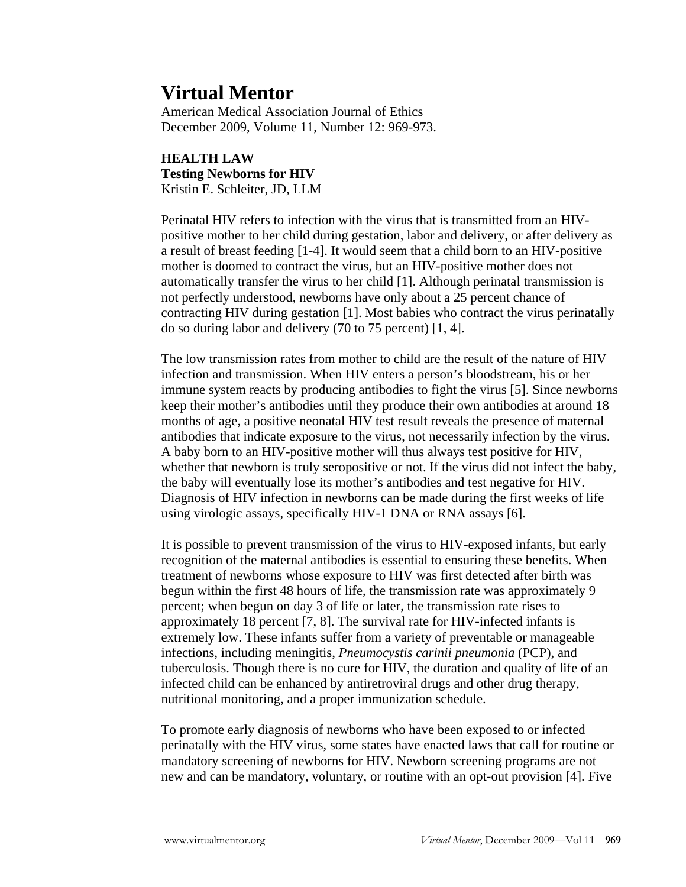# **Virtual Mentor**

American Medical Association Journal of Ethics December 2009, Volume 11, Number 12: 969-973.

### **HEALTH LAW Testing Newborns for HIV**  Kristin E. Schleiter, JD, LLM

Perinatal HIV refers to infection with the virus that is transmitted from an HIVpositive mother to her child during gestation, labor and delivery, or after delivery as a result of breast feeding [1-4]. It would seem that a child born to an HIV-positive mother is doomed to contract the virus, but an HIV-positive mother does not automatically transfer the virus to her child [1]. Although perinatal transmission is not perfectly understood, newborns have only about a 25 percent chance of contracting HIV during gestation [1]. Most babies who contract the virus perinatally do so during labor and delivery (70 to 75 percent) [1, 4].

The low transmission rates from mother to child are the result of the nature of HIV infection and transmission. When HIV enters a person's bloodstream, his or her immune system reacts by producing antibodies to fight the virus [5]. Since newborns keep their mother's antibodies until they produce their own antibodies at around 18 months of age, a positive neonatal HIV test result reveals the presence of maternal antibodies that indicate exposure to the virus, not necessarily infection by the virus. A baby born to an HIV-positive mother will thus always test positive for HIV, whether that newborn is truly seropositive or not. If the virus did not infect the baby, the baby will eventually lose its mother's antibodies and test negative for HIV. Diagnosis of HIV infection in newborns can be made during the first weeks of life using virologic assays, specifically HIV-1 DNA or RNA assays [6].

It is possible to prevent transmission of the virus to HIV-exposed infants, but early recognition of the maternal antibodies is essential to ensuring these benefits. When treatment of newborns whose exposure to HIV was first detected after birth was begun within the first 48 hours of life, the transmission rate was approximately 9 percent; when begun on day 3 of life or later, the transmission rate rises to approximately 18 percent [7, 8]. The survival rate for HIV-infected infants is extremely low. These infants suffer from a variety of preventable or manageable infections, including meningitis, *Pneumocystis carinii pneumonia* (PCP), and tuberculosis. Though there is no cure for HIV, the duration and quality of life of an infected child can be enhanced by antiretroviral drugs and other drug therapy, nutritional monitoring, and a proper immunization schedule.

To promote early diagnosis of newborns who have been exposed to or infected perinatally with the HIV virus, some states have enacted laws that call for routine or mandatory screening of newborns for HIV. Newborn screening programs are not new and can be mandatory, voluntary, or routine with an opt-out provision [4]. Five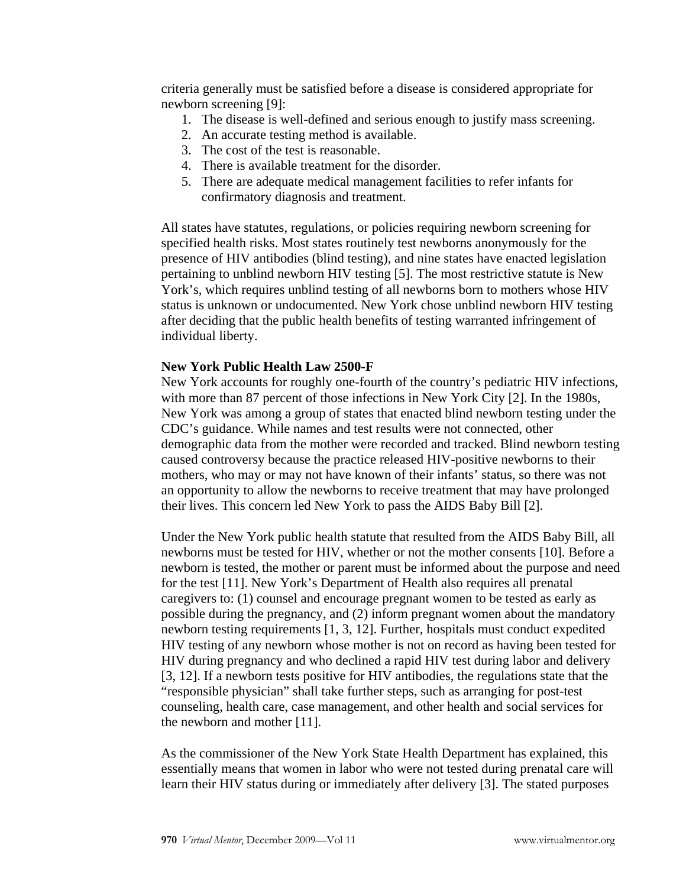criteria generally must be satisfied before a disease is considered appropriate for newborn screening [9]:

- 1. The disease is well-defined and serious enough to justify mass screening.
- 2. An accurate testing method is available.
- 3. The cost of the test is reasonable.
- 4. There is available treatment for the disorder.
- 5. There are adequate medical management facilities to refer infants for confirmatory diagnosis and treatment.

All states have statutes, regulations, or policies requiring newborn screening for specified health risks. Most states routinely test newborns anonymously for the presence of HIV antibodies (blind testing), and nine states have enacted legislation pertaining to unblind newborn HIV testing [5]. The most restrictive statute is New York's, which requires unblind testing of all newborns born to mothers whose HIV status is unknown or undocumented. New York chose unblind newborn HIV testing after deciding that the public health benefits of testing warranted infringement of individual liberty.

# **New York Public Health Law 2500-F**

New York accounts for roughly one-fourth of the country's pediatric HIV infections, with more than 87 percent of those infections in New York City [2]. In the 1980s, New York was among a group of states that enacted blind newborn testing under the CDC's guidance. While names and test results were not connected, other demographic data from the mother were recorded and tracked. Blind newborn testing caused controversy because the practice released HIV-positive newborns to their mothers, who may or may not have known of their infants' status, so there was not an opportunity to allow the newborns to receive treatment that may have prolonged their lives. This concern led New York to pass the AIDS Baby Bill [2].

Under the New York public health statute that resulted from the AIDS Baby Bill, all newborns must be tested for HIV, whether or not the mother consents [10]. Before a newborn is tested, the mother or parent must be informed about the purpose and need for the test [11]. New York's Department of Health also requires all prenatal caregivers to: (1) counsel and encourage pregnant women to be tested as early as possible during the pregnancy, and (2) inform pregnant women about the mandatory newborn testing requirements [1, 3, 12]. Further, hospitals must conduct expedited HIV testing of any newborn whose mother is not on record as having been tested for HIV during pregnancy and who declined a rapid HIV test during labor and delivery [3, 12]. If a newborn tests positive for HIV antibodies, the regulations state that the "responsible physician" shall take further steps, such as arranging for post-test counseling, health care, case management, and other health and social services for the newborn and mother [11].

As the commissioner of the New York State Health Department has explained, this essentially means that women in labor who were not tested during prenatal care will learn their HIV status during or immediately after delivery [3]. The stated purposes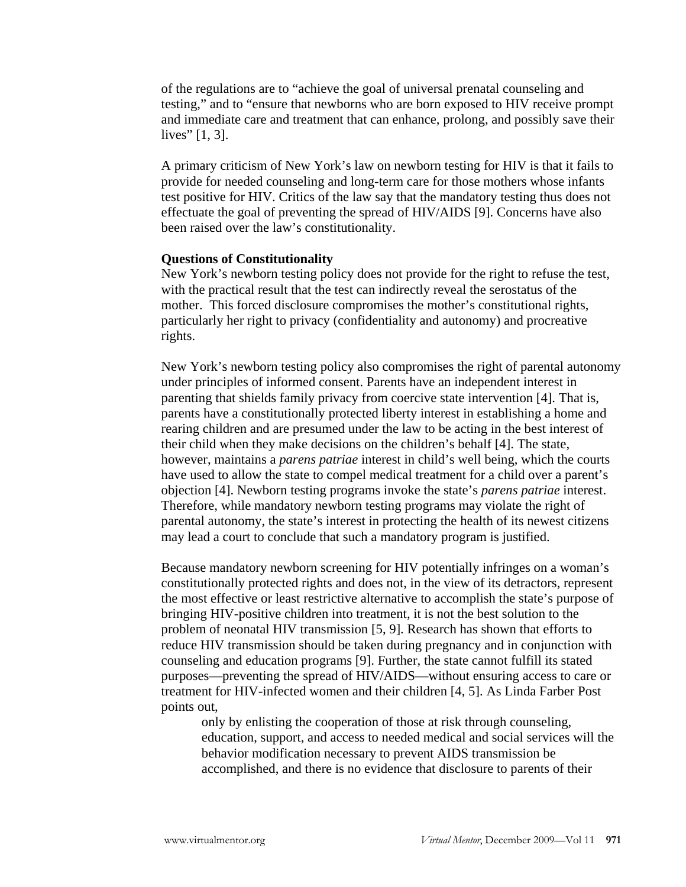of the regulations are to "achieve the goal of universal prenatal counseling and testing," and to "ensure that newborns who are born exposed to HIV receive prompt and immediate care and treatment that can enhance, prolong, and possibly save their lives" [1, 3].

A primary criticism of New York's law on newborn testing for HIV is that it fails to provide for needed counseling and long-term care for those mothers whose infants test positive for HIV. Critics of the law say that the mandatory testing thus does not effectuate the goal of preventing the spread of HIV/AIDS [9]. Concerns have also been raised over the law's constitutionality.

#### **Questions of Constitutionality**

New York's newborn testing policy does not provide for the right to refuse the test, with the practical result that the test can indirectly reveal the serostatus of the mother. This forced disclosure compromises the mother's constitutional rights, particularly her right to privacy (confidentiality and autonomy) and procreative rights.

New York's newborn testing policy also compromises the right of parental autonomy under principles of informed consent. Parents have an independent interest in parenting that shields family privacy from coercive state intervention [4]. That is, parents have a constitutionally protected liberty interest in establishing a home and rearing children and are presumed under the law to be acting in the best interest of their child when they make decisions on the children's behalf [4]. The state, however, maintains a *parens patriae* interest in child's well being, which the courts have used to allow the state to compel medical treatment for a child over a parent's objection [4]. Newborn testing programs invoke the state's *parens patriae* interest. Therefore, while mandatory newborn testing programs may violate the right of parental autonomy, the state's interest in protecting the health of its newest citizens may lead a court to conclude that such a mandatory program is justified.

Because mandatory newborn screening for HIV potentially infringes on a woman's constitutionally protected rights and does not, in the view of its detractors, represent the most effective or least restrictive alternative to accomplish the state's purpose of bringing HIV-positive children into treatment, it is not the best solution to the problem of neonatal HIV transmission [5, 9]. Research has shown that efforts to reduce HIV transmission should be taken during pregnancy and in conjunction with counseling and education programs [9]. Further, the state cannot fulfill its stated purposes—preventing the spread of HIV/AIDS—without ensuring access to care or treatment for HIV-infected women and their children [4, 5]. As Linda Farber Post points out,

only by enlisting the cooperation of those at risk through counseling, education, support, and access to needed medical and social services will the behavior modification necessary to prevent AIDS transmission be accomplished, and there is no evidence that disclosure to parents of their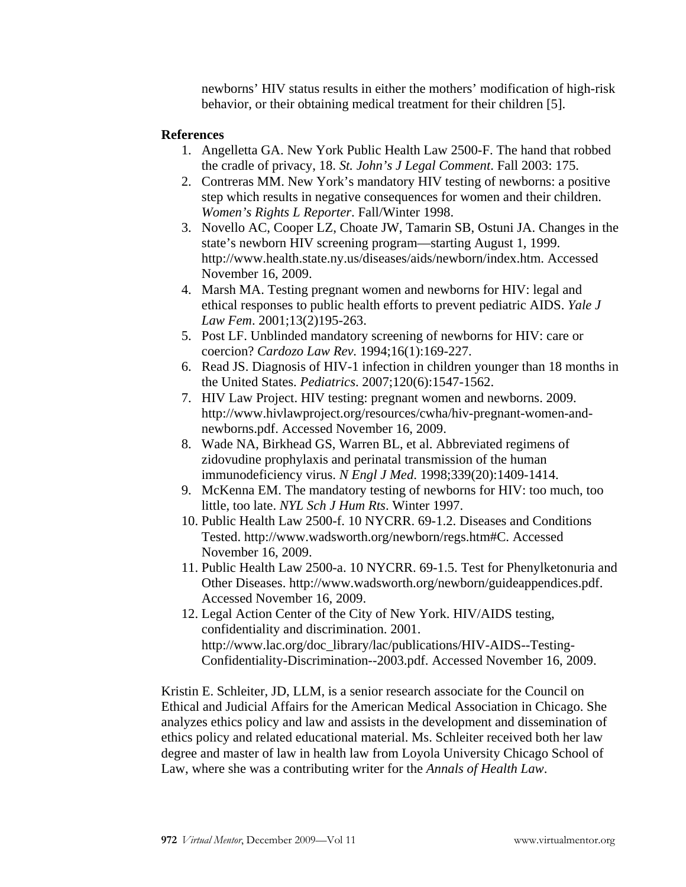newborns' HIV status results in either the mothers' modification of high-risk behavior, or their obtaining medical treatment for their children [5].

## **References**

- 1. Angelletta GA. New York Public Health Law 2500-F. The hand that robbed the cradle of privacy, 18. *St. John's J Legal Comment*. Fall 2003: 175.
- 2. Contreras MM. New York's mandatory HIV testing of newborns: a positive step which results in negative consequences for women and their children. *Women's Rights L Reporter*. Fall/Winter 1998.
- 3. Novello AC, Cooper LZ, Choate JW, Tamarin SB, Ostuni JA. Changes in the state's newborn HIV screening program—starting August 1, 1999. http://www.health.state.ny.us/diseases/aids/newborn/index.htm. Accessed November 16, 2009.
- 4. Marsh MA. Testing pregnant women and newborns for HIV: legal and ethical responses to public health efforts to prevent pediatric AIDS. *Yale J Law Fem*. 2001;13(2)195-263.
- 5. Post LF. Unblinded mandatory screening of newborns for HIV: care or coercion? *Cardozo Law Rev.* 1994;16(1):169-227.
- 6. Read JS. Diagnosis of HIV-1 infection in children younger than 18 months in the United States. *Pediatrics*. 2007;120(6):1547-1562.
- 7. HIV Law Project. HIV testing: pregnant women and newborns. 2009. http://www.hivlawproject.org/resources/cwha/hiv-pregnant-women-andnewborns.pdf. Accessed November 16, 2009.
- 8. Wade NA, Birkhead GS, Warren BL, et al. Abbreviated regimens of zidovudine prophylaxis and perinatal transmission of the human immunodeficiency virus. *N Engl J Med*. 1998;339(20):1409-1414.
- 9. McKenna EM. The mandatory testing of newborns for HIV: too much, too little, too late. *NYL Sch J Hum Rts*. Winter 1997.
- 10. Public Health Law 2500-f. 10 NYCRR. 69-1.2. Diseases and Conditions Tested. http://www.wadsworth.org/newborn/regs.htm#C. Accessed November 16, 2009.
- 11. Public Health Law 2500-a. 10 NYCRR. 69-1.5. Test for Phenylketonuria and Other Diseases. http://www.wadsworth.org/newborn/guideappendices.pdf. Accessed November 16, 2009.
- 12. Legal Action Center of the City of New York. HIV/AIDS testing, confidentiality and discrimination. 2001. http://www.lac.org/doc\_library/lac/publications/HIV-AIDS--Testing-Confidentiality-Discrimination--2003.pdf. Accessed November 16, 2009.

Kristin E. Schleiter, JD, LLM, is a senior research associate for the Council on Ethical and Judicial Affairs for the American Medical Association in Chicago. She analyzes ethics policy and law and assists in the development and dissemination of ethics policy and related educational material. Ms. Schleiter received both her law degree and master of law in health law from Loyola University Chicago School of Law, where she was a contributing writer for the *Annals of Health Law*.